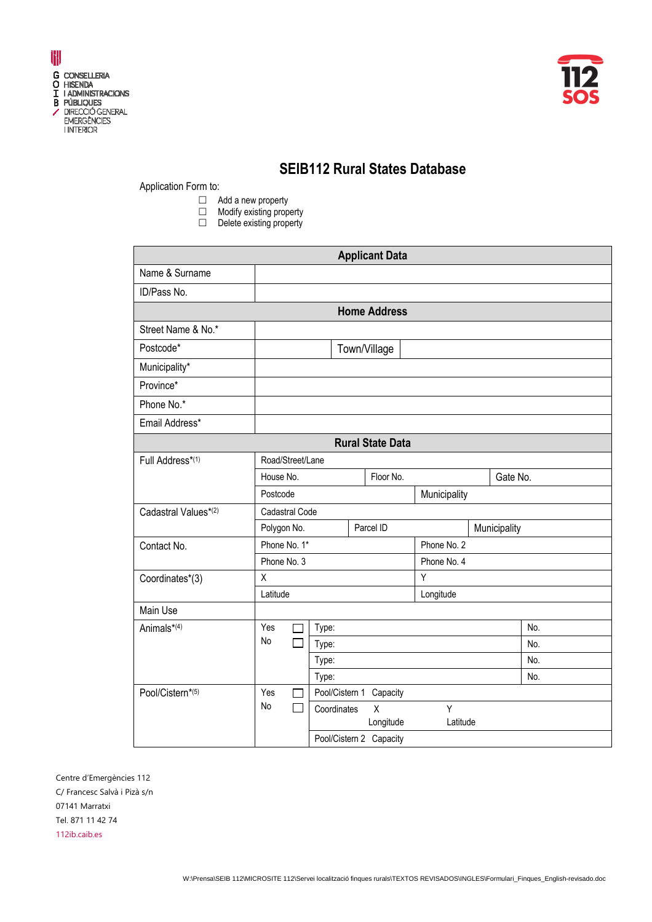



## **SEIB112 Rural States Database**

Application Form to:

- □ Add a new property
- $\Box$  Modify existing property
- $\Box$  Delete existing property

| <b>Applicant Data</b>   |                             |                |  |                         |              |              |          |
|-------------------------|-----------------------------|----------------|--|-------------------------|--------------|--------------|----------|
| Name & Surname          |                             |                |  |                         |              |              |          |
| ID/Pass No.             |                             |                |  |                         |              |              |          |
|                         |                             |                |  | <b>Home Address</b>     |              |              |          |
| Street Name & No.*      |                             |                |  |                         |              |              |          |
| Postcode*               |                             |                |  | Town/Village            |              |              |          |
| Municipality*           |                             |                |  |                         |              |              |          |
| Province*               |                             |                |  |                         |              |              |          |
| Phone No.*              |                             |                |  |                         |              |              |          |
| Email Address*          |                             |                |  |                         |              |              |          |
| <b>Rural State Data</b> |                             |                |  |                         |              |              |          |
| Full Address*(1)        | Road/Street/Lane            |                |  |                         |              |              |          |
|                         | House No.<br>Floor No.      |                |  |                         |              |              | Gate No. |
|                         | Postcode                    |                |  |                         | Municipality |              |          |
| Cadastral Values*(2)    | Cadastral Code              |                |  |                         |              |              |          |
|                         | Polygon No.                 |                |  | Parcel ID               |              | Municipality |          |
| Contact No.             | Phone No. 1*<br>Phone No. 3 |                |  |                         | Phone No. 2  |              |          |
|                         |                             |                |  |                         | Phone No. 4  |              |          |
| Coordinates*(3)         | X<br>Latitude               |                |  |                         | Y            |              |          |
| Main Use                |                             |                |  |                         | Longitude    |              |          |
| Animals*(4)             | Yes                         | Type:          |  |                         |              |              | No.      |
|                         | No                          | Type:          |  |                         |              | No.          |          |
|                         |                             | Type:          |  |                         |              | No.          |          |
|                         |                             | Type:          |  |                         |              |              | No.      |
| Pool/Cistern*(5)        | Yes<br>П                    | Pool/Cistern 1 |  | Capacity                |              |              |          |
|                         | No<br>П                     | Coordinates    |  | $\overline{\mathsf{x}}$ | Y            |              |          |
|                         |                             |                |  | Longitude               | Latitude     |              |          |
|                         |                             |                |  | Pool/Cistern 2 Capacity |              |              |          |

Centre d'Emergències 112 C/ Francesc Salvà i Pizà s/n 07141 Marratxi Tel. 871 11 42 74 112ib.caib.es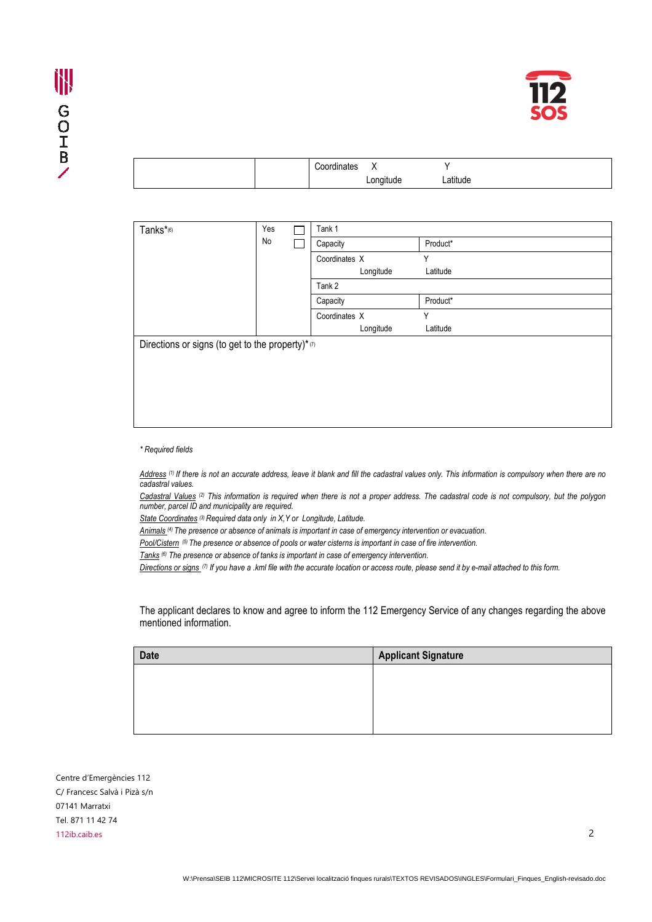

|  | `oordinatoo<br>iales | $\lambda$        |          |
|--|----------------------|------------------|----------|
|  |                      | . .<br>∟ongitude | Latitude |

| Yes<br>Tanks*(6)<br>No                           |  | Tank 1   |               |          |
|--------------------------------------------------|--|----------|---------------|----------|
|                                                  |  |          | Capacity      | Product* |
|                                                  |  |          | Coordinates X | Υ        |
|                                                  |  |          | Longitude     | Latitude |
|                                                  |  |          | Tank 2        |          |
|                                                  |  | Capacity | Product*      |          |
|                                                  |  |          | Coordinates X | Υ        |
|                                                  |  |          | Longitude     | Latitude |
| Directions or signs (to get to the property)*(7) |  |          |               |          |
|                                                  |  |          |               |          |
|                                                  |  |          |               |          |
|                                                  |  |          |               |          |
|                                                  |  |          |               |          |
|                                                  |  |          |               |          |
|                                                  |  |          |               |          |

## *\* Required fields*

*Address (1) If there is not an accurate address, leave it blank and fill the cadastral values only. This information is compulsory when there are no cadastral values.* 

*Cadastral Values (2) This information is required when there is not a proper address. The cadastral code is not compulsory, but the polygon number, parcel ID and municipality are required.* 

*State Coordinates (3) Required data only in X,Y or Longitude, Latitude.*

*Animals (4) The presence or absence of animals is important in case of emergency intervention or evacuation.* 

*Pool/Cistern (5) The presence or absence of pools or water cisterns is important in case of fire intervention.*

*Tanks (6) The presence or absence of tanks is important in case of emergency intervention.* 

*Directions or signs (7) If you have a .kml file with the accurate location or access route, please send it by e-mail attached to this form.* 

The applicant declares to know and agree to inform the 112 Emergency Service of any changes regarding the above mentioned information.

| <b>Date</b> | <b>Applicant Signature</b> |
|-------------|----------------------------|
|             |                            |
|             |                            |
|             |                            |
|             |                            |

Centre d'Emergències 112 C/ Francesc Salvà i Pizà s/n 07141 Marratxi Tel. 871 11 42 74 112ib.caib.es 2